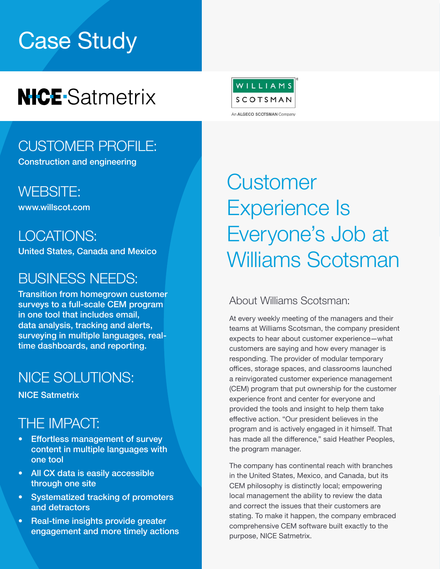# Case Study

## **NICE-Satmetrix**

### CUSTOMER PROFILE:

Construction and engineering

[WEBSITE:](https://www.bobst.com/usen/)  [www.willscot.com](http://www.willscot.com )

LOCATIONS:

United States, Canada and Mexico

### BUSINESS NEEDS:

Transition from homegrown customer surveys to a full-scale CEM program in one tool that includes email, data analysis, tracking and alerts, surveying in multiple languages, realtime dashboards, and reporting.

## NICE SOLUTIONS:

NICE Satmetrix

### THE IMPACT:

- Effortless management of survey content in multiple languages with one tool
- All CX data is easily accessible through one site
- Systematized tracking of promoters and detractors
- Real-time insights provide greater engagement and more timely actions



## **Customer** Experience Is Everyone's Job at Williams Scotsman

#### About Williams Scotsman:

At every weekly meeting of the managers and their teams at Williams Scotsman, the company president expects to hear about customer experience—what customers are saying and how every manager is responding. The provider of modular temporary offices, storage spaces, and classrooms launched a reinvigorated customer experience management (CEM) program that put ownership for the customer experience front and center for everyone and provided the tools and insight to help them take effective action. "Our president believes in the program and is actively engaged in it himself. That has made all the difference," said Heather Peoples, the program manager.

The company has continental reach with branches in the United States, Mexico, and Canada, but its CEM philosophy is distinctly local; empowering local management the ability to review the data and correct the issues that their customers are stating. To make it happen, the company embraced comprehensive CEM software built exactly to the purpose, NICE Satmetrix.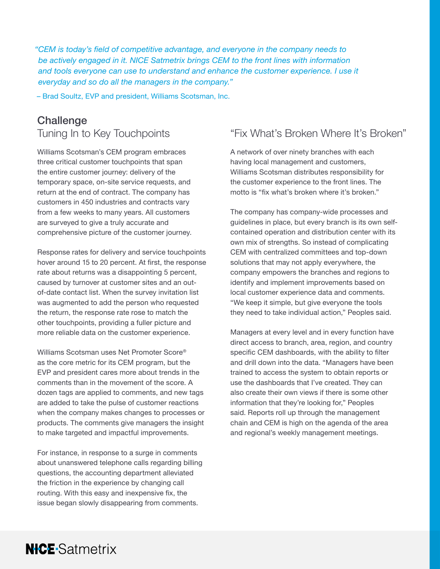*"CEM is today's field of competitive advantage, and everyone in the company needs to be actively engaged in it. NICE Satmetrix brings CEM to the front lines with information and tools everyone can use to understand and enhance the customer experience. I use it everyday and so do all the managers in the company."* 

– Brad Soultz, EVP and president, Williams Scotsman, Inc.

#### **Challenge** Tuning In to Key Touchpoints

Williams Scotsman's CEM program embraces three critical customer touchpoints that span the entire customer journey: delivery of the temporary space, on-site service requests, and return at the end of contract. The company has customers in 450 industries and contracts vary from a few weeks to many years. All customers are surveyed to give a truly accurate and comprehensive picture of the customer journey.

Response rates for delivery and service touchpoints hover around 15 to 20 percent. At first, the response rate about returns was a disappointing 5 percent, caused by turnover at customer sites and an outof-date contact list. When the survey invitation list was augmented to add the person who requested the return, the response rate rose to match the other touchpoints, providing a fuller picture and more reliable data on the customer experience.

Williams Scotsman uses Net Promoter Score® as the core metric for its CEM program, but the EVP and president cares more about trends in the comments than in the movement of the score. A dozen tags are applied to comments, and new tags are added to take the pulse of customer reactions when the company makes changes to processes or products. The comments give managers the insight to make targeted and impactful improvements.

For instance, in response to a surge in comments about unanswered telephone calls regarding billing questions, the accounting department alleviated the friction in the experience by changing call routing. With this easy and inexpensive fix, the issue began slowly disappearing from comments.

**NICE-Satmetrix** 

#### "Fix What's Broken Where It's Broken"

A network of over ninety branches with each having local management and customers, Williams Scotsman distributes responsibility for the customer experience to the front lines. The motto is "fix what's broken where it's broken."

The company has company-wide processes and guidelines in place, but every branch is its own selfcontained operation and distribution center with its own mix of strengths. So instead of complicating CEM with centralized committees and top-down solutions that may not apply everywhere, the company empowers the branches and regions to identify and implement improvements based on local customer experience data and comments. "We keep it simple, but give everyone the tools they need to take individual action," Peoples said.

Managers at every level and in every function have direct access to branch, area, region, and country specific CEM dashboards, with the ability to filter and drill down into the data. "Managers have been trained to access the system to obtain reports or use the dashboards that I've created. They can also create their own views if there is some other information that they're looking for," Peoples said. Reports roll up through the management chain and CEM is high on the agenda of the area and regional's weekly management meetings.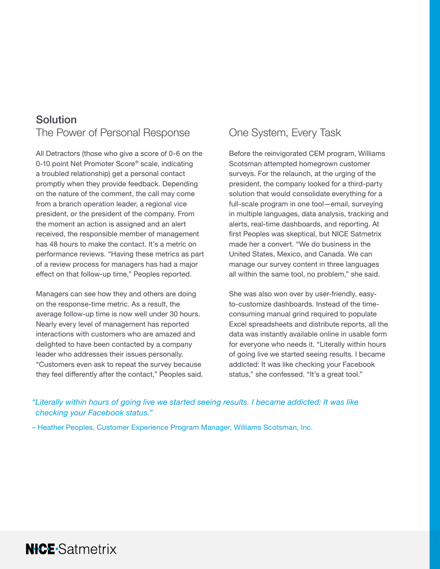#### Solution The Power of Personal Response

All Detractors (those who give a score of 0-6 on the 0-10 point Net Promoter Score® scale, indicating a troubled relationship) get a personal contact promptly when they provide feedback. Depending on the nature of the comment, the call may come from a branch operation leader, a regional vice president, or the president of the company. From the moment an action is assigned and an alert received, the responsible member of management has 48 hours to make the contact. It's a metric on performance reviews. "Having these metrics as part of a review process for managers has had a major effect on that follow-up time," Peoples reported.

Managers can see how they and others are doing on the response-time metric. As a result, the average follow-up time is now well under 30 hours. Nearly every level of management has reported interactions with customers who are amazed and delighted to have been contacted by a company leader who addresses their issues personally. "Customers even ask to repeat the survey because they feel differently after the contact," Peoples said.

**NICE-Satmetrix** 

#### One System, Every Task

Before the reinvigorated CEM program, Williams Scotsman attempted homegrown customer surveys. For the relaunch, at the urging of the president, the company looked for a third-party solution that would consolidate everything for a full-scale program in one tool—email, surveying in multiple languages, data analysis, tracking and alerts, real-time dashboards, and reporting. At first Peoples was skeptical, but NICE Satmetrix made her a convert. "We do business in the United States, Mexico, and Canada. We can manage our survey content in three languages all within the same tool, no problem," she said.

She was also won over by user-friendly, easyto-customize dashboards. Instead of the timeconsuming manual grind required to populate Excel spreadsheets and distribute reports, all the data was instantly available online in usable form for everyone who needs it. "Literally within hours of going live we started seeing results. I became addicted: It was like checking your Facebook status," she confessed. "It's a great tool."

*"Literally within hours of going live we started seeing results. I became addicted: It was like checking your Facebook status."*

– Heather Peoples, Customer Experience Program Manager, Williams Scotsman, Inc.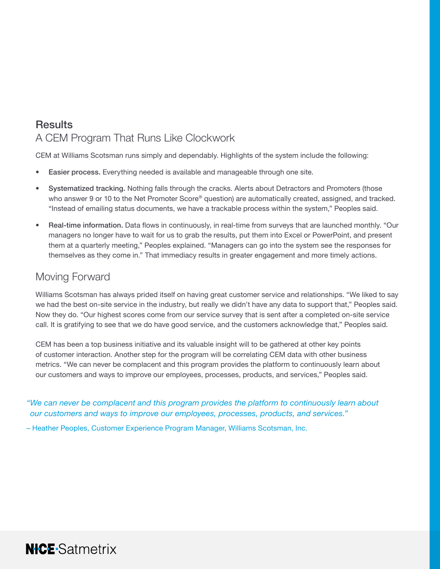#### **Results** A CEM Program That Runs Like Clockwork

CEM at Williams Scotsman runs simply and dependably. Highlights of the system include the following:

- Easier process. Everything needed is available and manageable through one site.
- Systematized tracking. Nothing falls through the cracks. Alerts about Detractors and Promoters (those who answer 9 or 10 to the Net Promoter Score® question) are automatically created, assigned, and tracked. "Instead of emailing status documents, we have a trackable process within the system," Peoples said.
- Real-time information. Data flows in continuously, in real-time from surveys that are launched monthly. "Our managers no longer have to wait for us to grab the results, put them into Excel or PowerPoint, and present them at a quarterly meeting," Peoples explained. "Managers can go into the system see the responses for themselves as they come in." That immediacy results in greater engagement and more timely actions.

#### Moving Forward

**NICE-Satmetrix** 

Williams Scotsman has always prided itself on having great customer service and relationships. "We liked to say we had the best on-site service in the industry, but really we didn't have any data to support that," Peoples said. Now they do. "Our highest scores come from our service survey that is sent after a completed on-site service call. It is gratifying to see that we do have good service, and the customers acknowledge that," Peoples said.

CEM has been a top business initiative and its valuable insight will to be gathered at other key points of customer interaction. Another step for the program will be correlating CEM data with other business metrics. "We can never be complacent and this program provides the platform to continuously learn about our customers and ways to improve our employees, processes, products, and services," Peoples said.

*"We can never be complacent and this program provides the platform to continuously learn about our customers and ways to improve our employees, processes, products, and services."*

– Heather Peoples, Customer Experience Program Manager, Williams Scotsman, Inc.